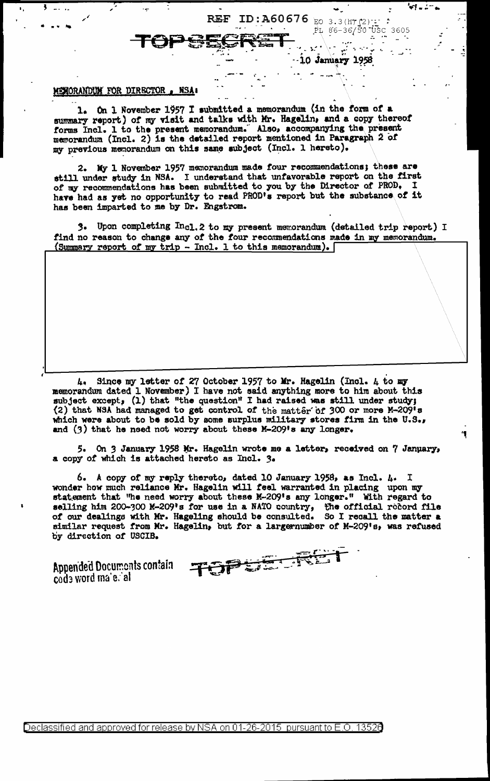## MENORANDUM FOR DIRECTOR , NSA.

On 1 November 1957 I submitted a memorandum (in the form of a  $1.$ summary report) of my visit and talks with Mr. Hagelin, and a copy thereof forms Incl. 1 to the present memorandum. Also, accompanying the present memorandum (Incl. 2) is the detailed report mentioned in Paragraph 2 of my previous memorandum on this same subject (Incl. 1 hereto).

**REF** 

ID:A60676 EO 3.3(ht (2)

 $PL 86-36/50$   $USC 3605$ 

 $\omega_{\rm{max}}$ 

10 January 1958

2. My 1 November 1957 memorandum made four recommendations; these are still under study in NSA. I understand that unfavorable report on the first of my recommendations has been submitted to you by the Director of PROD. I have had as yet no opportunity to read PROD's report but the substance of it has been imparted to me by Dr. Engstrom.

Upon completing Incl. 2 to my present memorandum (detailed trip report) I 3. find no reason to change any of the four recommendations made in my memorandum. (Summary report of my trip - Incl. 1 to this memorandum).

Since my letter of 27 October 1957 to Mr. Hagelin (Incl. 4 to my ι. memorandum dated 1 November) I have not said anything more to him about this subject except, (1) that "the question" I had raised was still under study; (2) that NSA had managed to get control of the matter of 300 or more M-209's which were about to be sold by some surplus military stores firm in the U.S., and  $(3)$  that he need not worry about these M-209's any longer.

5. On 3 January 1958 Mr. Hagelin wrote me a letter, received on 7 January, a copy of which is attached hereto as Incl. 3.

6. A copy of my reply thereto, dated 10 January 1958, as Incl. 4. I wonder how much reliance Mr. Hagelin will feel warranted in placing upon my statement that "he need worry about these M-209's any longer." With regard to selling him 200-300 K-209's for use in a NATO country, the official redord file of our dealings with Mr. Hageling should be consulted. So I recall the matter a similar request from Mr. Hagelin, but for a largernumber of M-209's, was refused by direction of USCIB.

Appended Documents contain code word male. al

干奇节节